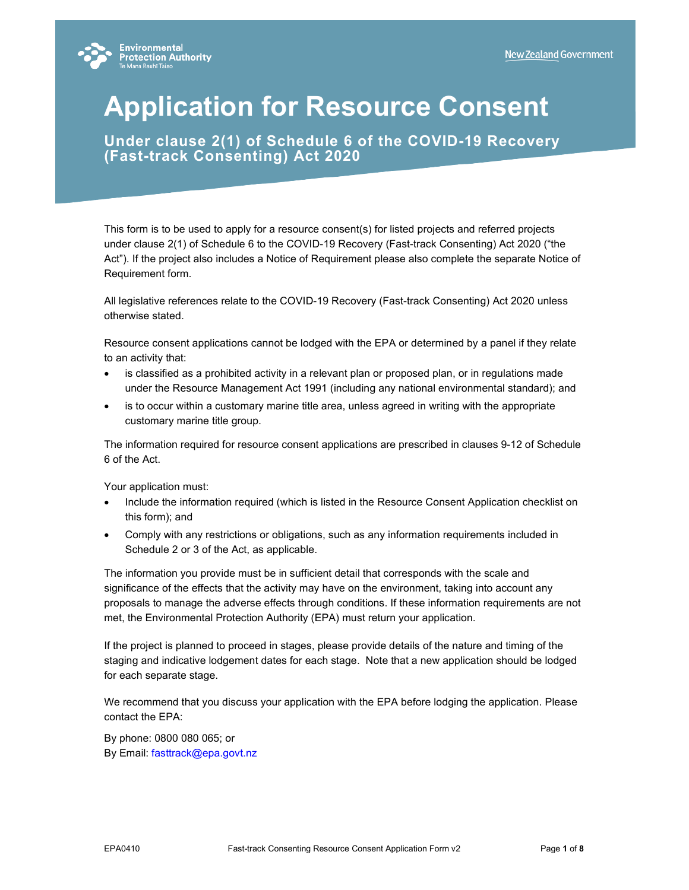

# **Application for Resource Consent**

**Under clause 2(1) of Schedule 6 of the COVID-19 Recovery (Fast-track Consenting) Act 2020** 

This form is to be used to apply for a resource consent(s) for listed projects and referred projects under clause 2(1) of Schedule 6 to the COVID-19 Recovery (Fast-track Consenting) Act 2020 ("the Act"). If the project also includes a Notice of Requirement please also complete the separate Notice of Requirement form.

All legislative references relate to the COVID-19 Recovery (Fast-track Consenting) Act 2020 unless otherwise stated.

Resource consent applications cannot be lodged with the EPA or determined by a panel if they relate to an activity that:

- is classified as a prohibited activity in a relevant plan or proposed plan, or in regulations made under the Resource Management Act 1991 (including any national environmental standard); and
- is to occur within a customary marine title area, unless agreed in writing with the appropriate customary marine title group.

The information required for resource consent applications are prescribed in clauses 9-12 of Schedule 6 of the Act.

Your application must:

- Include the information required (which is listed in the Resource Consent Application checklist on this form); and
- Comply with any restrictions or obligations, such as any information requirements included in Schedule 2 or 3 of the Act, as applicable.

The information you provide must be in sufficient detail that corresponds with the scale and significance of the effects that the activity may have on the environment, taking into account any proposals to manage the adverse effects through conditions. If these information requirements are not met, the Environmental Protection Authority (EPA) must return your application.

If the project is planned to proceed in stages, please provide details of the nature and timing of the staging and indicative lodgement dates for each stage. Note that a new application should be lodged for each separate stage.

We recommend that you discuss your application with the EPA before lodging the application. Please contact the EPA:

By phone: 0800 080 065; or By Email: fasttrack@epa.govt.nz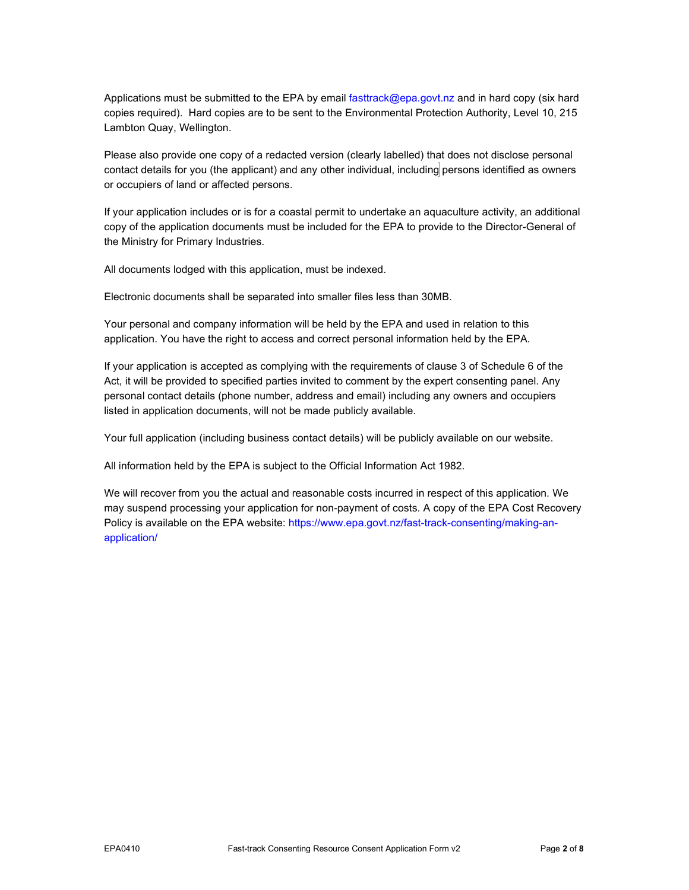Applications must be submitted to the EPA by email fasttrack@epa.govt.nz and in hard copy (six hard copies required). Hard copies are to be sent to the Environmental Protection Authority, Level 10, 215 Lambton Quay, Wellington.

Please also provide one copy of a redacted version (clearly labelled) that does not disclose personal contact details for you (the applicant) and any other individual, including persons identified as owners or occupiers of land or affected persons.

If your application includes or is for a coastal permit to undertake an aquaculture activity, an additional copy of the application documents must be included for the EPA to provide to the Director-General of the Ministry for Primary Industries.

All documents lodged with this application, must be indexed.

Electronic documents shall be separated into smaller files less than 30MB.

Your personal and company information will be held by the EPA and used in relation to this application. You have the right to access and correct personal information held by the EPA.

If your application is accepted as complying with the requirements of clause 3 of Schedule 6 of the Act, it will be provided to specified parties invited to comment by the expert consenting panel. Any personal contact details (phone number, address and email) including any owners and occupiers listed in application documents, will not be made publicly available.

Your full application (including business contact details) will be publicly available on our website.

All information held by the EPA is subject to the Official Information Act 1982.

We will recover from you the actual and reasonable costs incurred in respect of this application. We may suspend processing your application for non-payment of costs. A copy of the EPA Cost Recovery Policy is available on the EPA website: https://www.epa.govt.nz/fast-track-consenting/making-anapplication/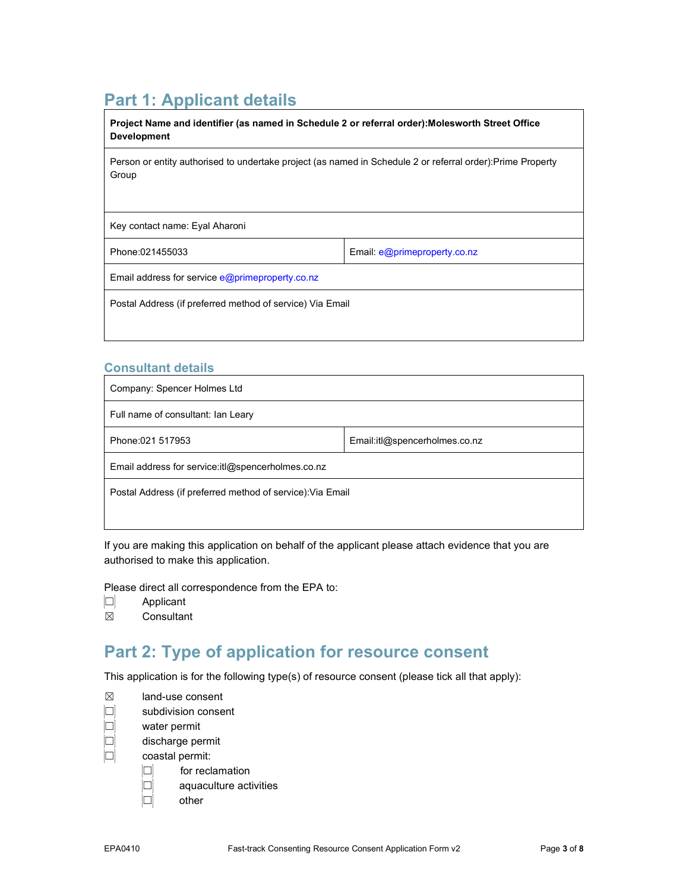#### **Part 1: Applicant details**

| Project Name and identifier (as named in Schedule 2 or referral order): Molesworth Street Office<br><b>Development</b> |                              |  |
|------------------------------------------------------------------------------------------------------------------------|------------------------------|--|
| Person or entity authorised to undertake project (as named in Schedule 2 or referral order): Prime Property<br>Group   |                              |  |
| Key contact name: Eyal Aharoni                                                                                         |                              |  |
| Phone:021455033                                                                                                        | Email: e@primeproperty.co.nz |  |
| Email address for service $e@$ prime property.co.nz                                                                    |                              |  |
| Postal Address (if preferred method of service) Via Email                                                              |                              |  |

#### **Consultant details**

| Company: Spencer Holmes Ltd                                |                               |  |
|------------------------------------------------------------|-------------------------------|--|
| Full name of consultant: Ian Leary                         |                               |  |
| Phone:021 517953                                           | Email:itl@spencerholmes.co.nz |  |
| Email address for service: it @ spencerholmes.co.nz        |                               |  |
| Postal Address (if preferred method of service): Via Email |                               |  |
|                                                            |                               |  |

If you are making this application on behalf of the applicant please attach evidence that you are authorised to make this application.

Please direct all correspondence from the EPA to:

- ☐ Applicant
- ☒ Consultant

#### **Part 2: Type of application for resource consent**

This application is for the following type(s) of resource consent (please tick all that apply):

| ⊠ |  | land-use consent |
|---|--|------------------|
|---|--|------------------|

- $\Box$  subdivision consent
- $\begin{array}{ccc} \boxed{\square} & & \text{water permit} \ \boxed{\square} & & \text{discharge pe} \ \boxed{\square} & & \text{coastal perm} \end{array}$ 
	- discharge permit
	- coastal permit:
		- $\Box$  for reclamation
		- $\Box$  aquaculture activities
		- ☐ other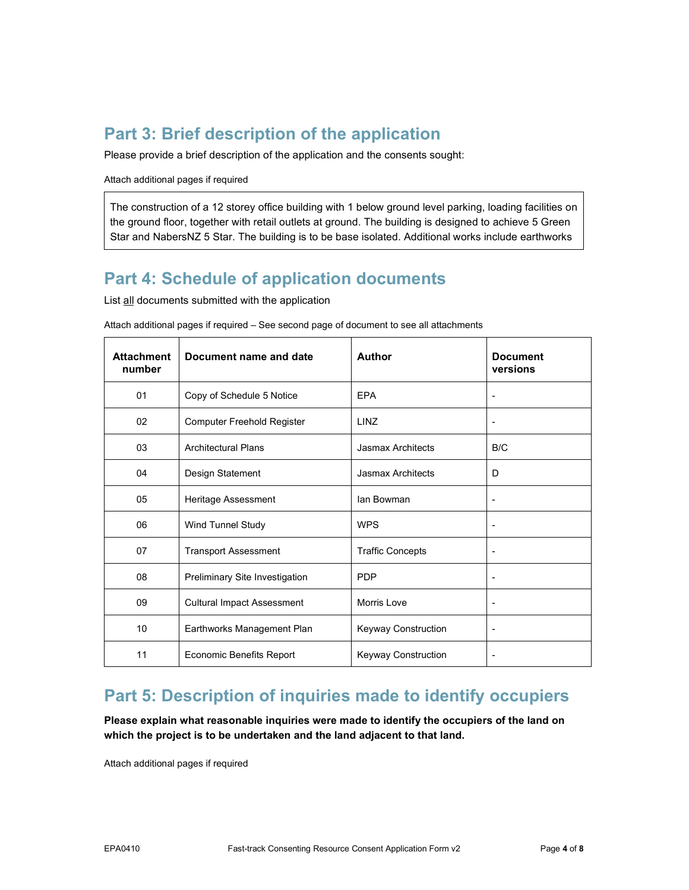### **Part 3: Brief description of the application**

Please provide a brief description of the application and the consents sought:

Attach additional pages if required

The construction of a 12 storey office building with 1 below ground level parking, loading facilities on the ground floor, together with retail outlets at ground. The building is designed to achieve 5 Green Star and NabersNZ 5 Star. The building is to be base isolated. Additional works include earthworks

#### **Part 4: Schedule of application documents**

List all documents submitted with the application

| <b>Attachment</b><br>number | Document name and date            | <b>Author</b>            | <b>Document</b><br>versions |
|-----------------------------|-----------------------------------|--------------------------|-----------------------------|
| 01                          | Copy of Schedule 5 Notice         | <b>EPA</b>               |                             |
| 02                          | Computer Freehold Register        | <b>LINZ</b>              |                             |
| 03                          | <b>Architectural Plans</b>        | <b>Jasmax Architects</b> | B/C                         |
| 04                          | Design Statement                  | Jasmax Architects        | D                           |
| 05                          | Heritage Assessment               | lan Bowman               | ٠                           |
| 06                          | Wind Tunnel Study                 | <b>WPS</b>               |                             |
| 07                          | <b>Transport Assessment</b>       | <b>Traffic Concepts</b>  |                             |
| 08                          | Preliminary Site Investigation    | <b>PDP</b>               |                             |
| 09                          | <b>Cultural Impact Assessment</b> | <b>Morris Love</b>       |                             |
| 10                          | Earthworks Management Plan        | Keyway Construction      |                             |
| 11                          | <b>Economic Benefits Report</b>   | Keyway Construction      |                             |

Attach additional pages if required – See second page of document to see all attachments

#### **Part 5: Description of inquiries made to identify occupiers**

**Please explain what reasonable inquiries were made to identify the occupiers of the land on which the project is to be undertaken and the land adjacent to that land.** 

Attach additional pages if required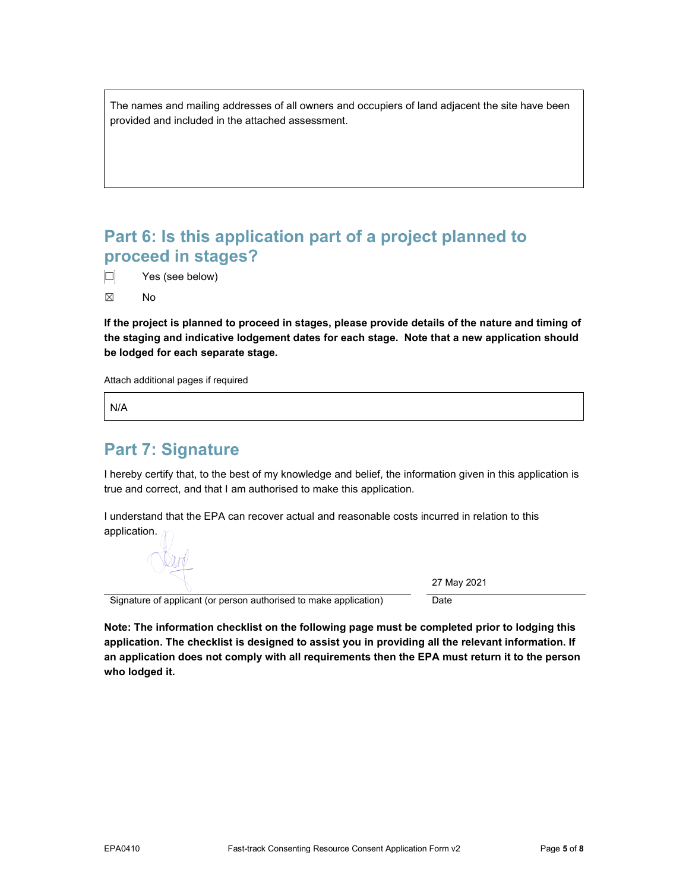The names and mailing addresses of all owners and occupiers of land adjacent the site have been provided and included in the attached assessment.

#### **Part 6: Is this application part of a project planned to proceed in stages?**

 $\Box$  Yes (see below)

☒ No

**If the project is planned to proceed in stages, please provide details of the nature and timing of the staging and indicative lodgement dates for each stage. Note that a new application should be lodged for each separate stage.** 

Attach additional pages if required

N/A

#### **Part 7: Signature**

I hereby certify that, to the best of my knowledge and belief, the information given in this application is true and correct, and that I am authorised to make this application.

I understand that the EPA can recover actual and reasonable costs incurred in relation to this application.

27 May 2021

Signature of applicant (or person authorised to make application) Date

**Note: The information checklist on the following page must be completed prior to lodging this application. The checklist is designed to assist you in providing all the relevant information. If an application does not comply with all requirements then the EPA must return it to the person who lodged it.**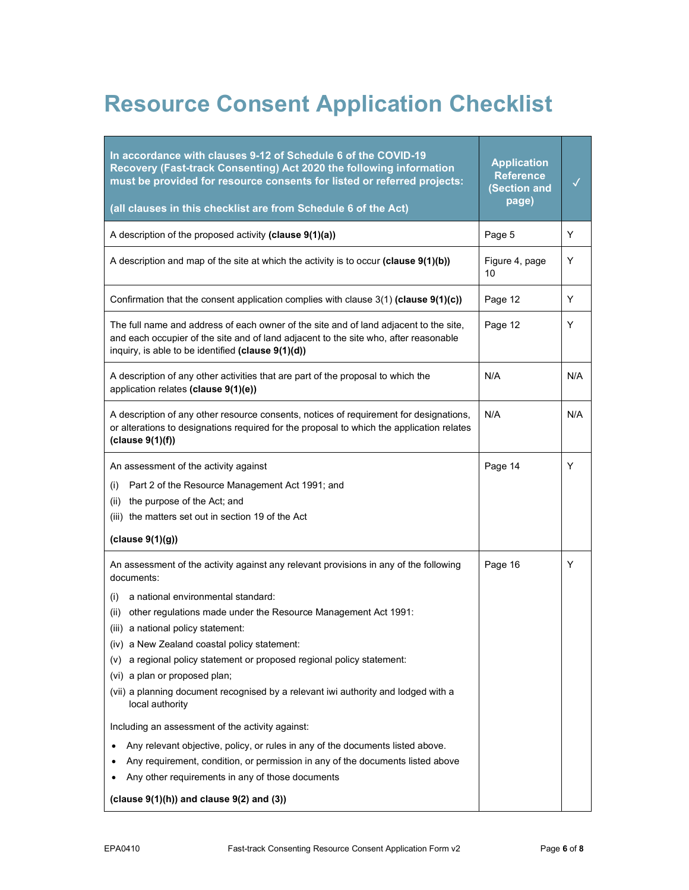## **Resource Consent Application Checklist**

| In accordance with clauses 9-12 of Schedule 6 of the COVID-19<br>Recovery (Fast-track Consenting) Act 2020 the following information<br>must be provided for resource consents for listed or referred projects:                                                                                                                                                                                                                                                                                                                                                                                                                                                                                                                                                                                                                                                                 | <b>Application</b><br><b>Reference</b><br>(Section and |     |
|---------------------------------------------------------------------------------------------------------------------------------------------------------------------------------------------------------------------------------------------------------------------------------------------------------------------------------------------------------------------------------------------------------------------------------------------------------------------------------------------------------------------------------------------------------------------------------------------------------------------------------------------------------------------------------------------------------------------------------------------------------------------------------------------------------------------------------------------------------------------------------|--------------------------------------------------------|-----|
| (all clauses in this checklist are from Schedule 6 of the Act)                                                                                                                                                                                                                                                                                                                                                                                                                                                                                                                                                                                                                                                                                                                                                                                                                  | page)                                                  |     |
| A description of the proposed activity (clause 9(1)(a))                                                                                                                                                                                                                                                                                                                                                                                                                                                                                                                                                                                                                                                                                                                                                                                                                         | Page 5                                                 | Y   |
| A description and map of the site at which the activity is to occur (clause $9(1)(b)$ )                                                                                                                                                                                                                                                                                                                                                                                                                                                                                                                                                                                                                                                                                                                                                                                         | Figure 4, page<br>10                                   | Y   |
| Confirmation that the consent application complies with clause $3(1)$ (clause $9(1)(c)$ )                                                                                                                                                                                                                                                                                                                                                                                                                                                                                                                                                                                                                                                                                                                                                                                       | Page 12                                                | Y   |
| The full name and address of each owner of the site and of land adjacent to the site,<br>and each occupier of the site and of land adjacent to the site who, after reasonable<br>inquiry, is able to be identified (clause 9(1)(d))                                                                                                                                                                                                                                                                                                                                                                                                                                                                                                                                                                                                                                             | Page 12                                                | Y   |
| A description of any other activities that are part of the proposal to which the<br>application relates (clause 9(1)(e))                                                                                                                                                                                                                                                                                                                                                                                                                                                                                                                                                                                                                                                                                                                                                        | N/A                                                    | N/A |
| A description of any other resource consents, notices of requirement for designations,<br>or alterations to designations required for the proposal to which the application relates<br>clause 9(1)(f))                                                                                                                                                                                                                                                                                                                                                                                                                                                                                                                                                                                                                                                                          | N/A                                                    | N/A |
| An assessment of the activity against<br>Part 2 of the Resource Management Act 1991; and<br>(i)<br>the purpose of the Act; and<br>(ii)<br>(iii) the matters set out in section 19 of the Act<br>clause 9(1)(g))                                                                                                                                                                                                                                                                                                                                                                                                                                                                                                                                                                                                                                                                 | Page 14                                                | Y   |
| An assessment of the activity against any relevant provisions in any of the following<br>documents:<br>a national environmental standard:<br>(i)<br>other regulations made under the Resource Management Act 1991:<br>(ii)<br>(iii) a national policy statement:<br>(iv) a New Zealand coastal policy statement:<br>(v) a regional policy statement or proposed regional policy statement:<br>(vi) a plan or proposed plan;<br>(vii) a planning document recognised by a relevant iwi authority and lodged with a<br>local authority<br>Including an assessment of the activity against:<br>Any relevant objective, policy, or rules in any of the documents listed above.<br>٠<br>Any requirement, condition, or permission in any of the documents listed above<br>٠<br>Any other requirements in any of those documents<br>(clause $9(1)(h)$ ) and clause $9(2)$ and $(3)$ ) | Page 16                                                | Y   |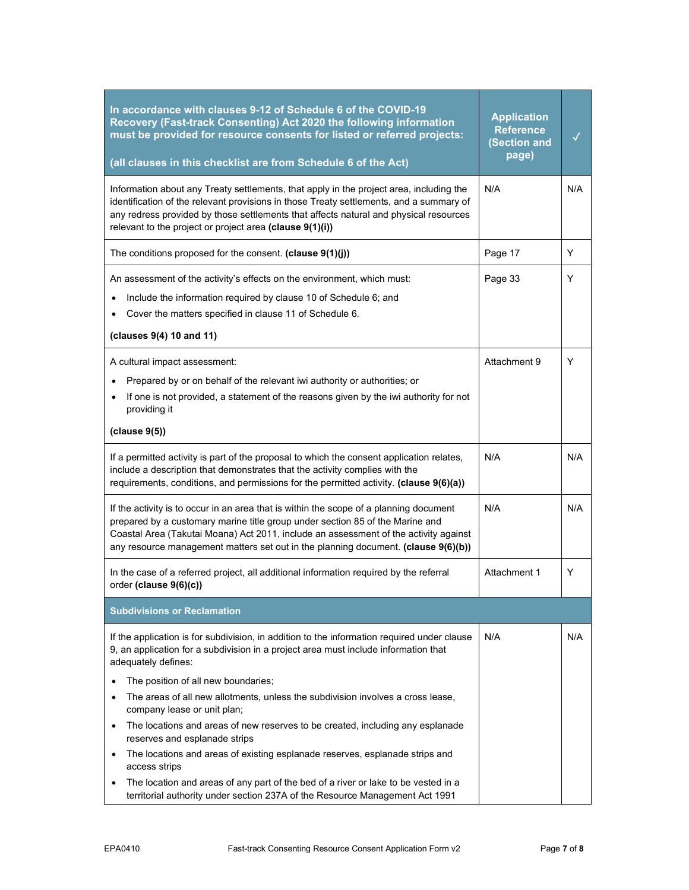| In accordance with clauses 9-12 of Schedule 6 of the COVID-19<br>Recovery (Fast-track Consenting) Act 2020 the following information<br>must be provided for resource consents for listed or referred projects:<br>(all clauses in this checklist are from Schedule 6 of the Act)                                                                                                                                                                                                                                                                                                                   | <b>Application</b><br><b>Reference</b><br>(Section and<br>page) |     |
|-----------------------------------------------------------------------------------------------------------------------------------------------------------------------------------------------------------------------------------------------------------------------------------------------------------------------------------------------------------------------------------------------------------------------------------------------------------------------------------------------------------------------------------------------------------------------------------------------------|-----------------------------------------------------------------|-----|
| Information about any Treaty settlements, that apply in the project area, including the<br>identification of the relevant provisions in those Treaty settlements, and a summary of<br>any redress provided by those settlements that affects natural and physical resources<br>relevant to the project or project area (clause 9(1)(i))                                                                                                                                                                                                                                                             | N/A                                                             | N/A |
| The conditions proposed for the consent. (clause 9(1)(j))                                                                                                                                                                                                                                                                                                                                                                                                                                                                                                                                           | Page 17                                                         | Y   |
| An assessment of the activity's effects on the environment, which must:<br>Include the information required by clause 10 of Schedule 6; and<br>Cover the matters specified in clause 11 of Schedule 6.<br>(clauses 9(4) 10 and 11)                                                                                                                                                                                                                                                                                                                                                                  | Page 33                                                         | Y   |
| A cultural impact assessment:<br>Prepared by or on behalf of the relevant iwi authority or authorities; or<br>If one is not provided, a statement of the reasons given by the iwi authority for not<br>providing it<br>(clause 9(5))                                                                                                                                                                                                                                                                                                                                                                | Attachment 9                                                    | Y   |
| If a permitted activity is part of the proposal to which the consent application relates,<br>include a description that demonstrates that the activity complies with the<br>requirements, conditions, and permissions for the permitted activity. (clause 9(6)(a))                                                                                                                                                                                                                                                                                                                                  | N/A                                                             | N/A |
| If the activity is to occur in an area that is within the scope of a planning document<br>prepared by a customary marine title group under section 85 of the Marine and<br>Coastal Area (Takutai Moana) Act 2011, include an assessment of the activity against<br>any resource management matters set out in the planning document. (clause 9(6)(b))                                                                                                                                                                                                                                               | N/A                                                             | N/A |
| In the case of a referred project, all additional information required by the referral<br>order (clause 9(6)(c))                                                                                                                                                                                                                                                                                                                                                                                                                                                                                    | Attachment 1                                                    | Y   |
| <b>Subdivisions or Reclamation</b>                                                                                                                                                                                                                                                                                                                                                                                                                                                                                                                                                                  |                                                                 |     |
| If the application is for subdivision, in addition to the information required under clause<br>9, an application for a subdivision in a project area must include information that<br>adequately defines:                                                                                                                                                                                                                                                                                                                                                                                           | N/A                                                             | N/A |
| The position of all new boundaries;<br>$\bullet$<br>The areas of all new allotments, unless the subdivision involves a cross lease,<br>company lease or unit plan;<br>The locations and areas of new reserves to be created, including any esplanade<br>$\bullet$<br>reserves and esplanade strips<br>The locations and areas of existing esplanade reserves, esplanade strips and<br>$\bullet$<br>access strips<br>The location and areas of any part of the bed of a river or lake to be vested in a<br>$\bullet$<br>territorial authority under section 237A of the Resource Management Act 1991 |                                                                 |     |